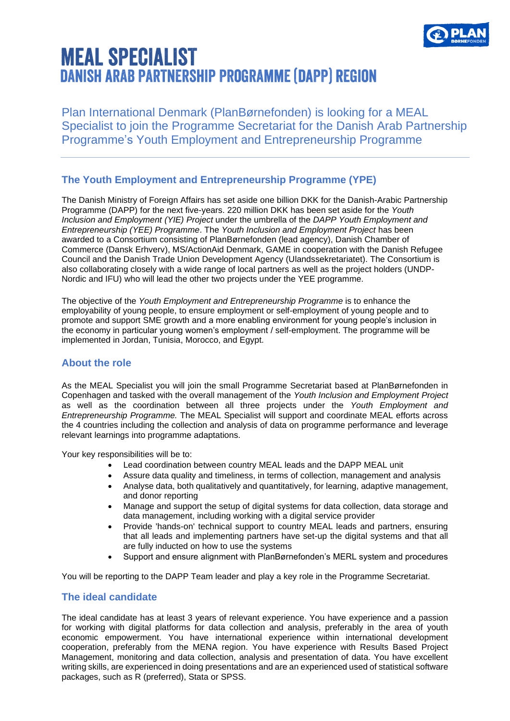

# **MEAL SPECIALIST DANISH ARAB PARTNERSHIP PROGRAMME (DAPP) REGION**

Plan International Denmark (PlanBørnefonden) is looking for a MEAL Specialist to join the Programme Secretariat for the Danish Arab Partnership Programme's Youth Employment and Entrepreneurship Programme

### **The Youth Employment and Entrepreneurship Programme (YPE)**

The Danish Ministry of Foreign Affairs has set aside one billion DKK for the Danish-Arabic Partnership Programme (DAPP) for the next five-years. 220 million DKK has been set aside for the *Youth Inclusion and Employment (YIE) Project* under the umbrella of the *DAPP Youth Employment and Entrepreneurship (YEE) Programme*. The *Youth Inclusion and Employment Project* has been awarded to a Consortium consisting of PlanBørnefonden (lead agency), Danish Chamber of Commerce (Dansk Erhverv), MS/ActionAid Denmark, GAME in cooperation with the Danish Refugee Council and the Danish Trade Union Development Agency (Ulandssekretariatet). The Consortium is also collaborating closely with a wide range of local partners as well as the project holders (UNDP-Nordic and IFU) who will lead the other two projects under the YEE programme.

The objective of the *Youth Employment and Entrepreneurship Programme* is to enhance the employability of young people, to ensure employment or self-employment of young people and to promote and support SME growth and a more enabling environment for young people's inclusion in the economy in particular young women's employment / self-employment. The programme will be implemented in Jordan, Tunisia, Morocco, and Egypt.

### **About the role**

As the MEAL Specialist you will join the small Programme Secretariat based at PlanBørnefonden in Copenhagen and tasked with the overall management of the *Youth Inclusion and Employment Project* as well as the coordination between all three projects under the *Youth Employment and Entrepreneurship Programme.* The MEAL Specialist will support and coordinate MEAL efforts across the 4 countries including the collection and analysis of data on programme performance and leverage relevant learnings into programme adaptations.

Your key responsibilities will be to:

- Lead coordination between country MEAL leads and the DAPP MEAL unit
- Assure data quality and timeliness, in terms of collection, management and analysis
- Analyse data, both qualitatively and quantitatively, for learning, adaptive management, and donor reporting
- Manage and support the setup of digital systems for data collection, data storage and data management, including working with a digital service provider
- Provide 'hands-on' technical support to country MEAL leads and partners, ensuring that all leads and implementing partners have set-up the digital systems and that all are fully inducted on how to use the systems
- Support and ensure alignment with PlanBørnefonden's MERL system and procedures

You will be reporting to the DAPP Team leader and play a key role in the Programme Secretariat.

### **The ideal candidate**

The ideal candidate has at least 3 years of relevant experience. You have experience and a passion for working with digital platforms for data collection and analysis, preferably in the area of youth economic empowerment. You have international experience within international development cooperation, preferably from the MENA region. You have experience with Results Based Project Management, monitoring and data collection, analysis and presentation of data. You have excellent writing skills, are experienced in doing presentations and are an experienced used of statistical software packages, such as R (preferred), Stata or SPSS.